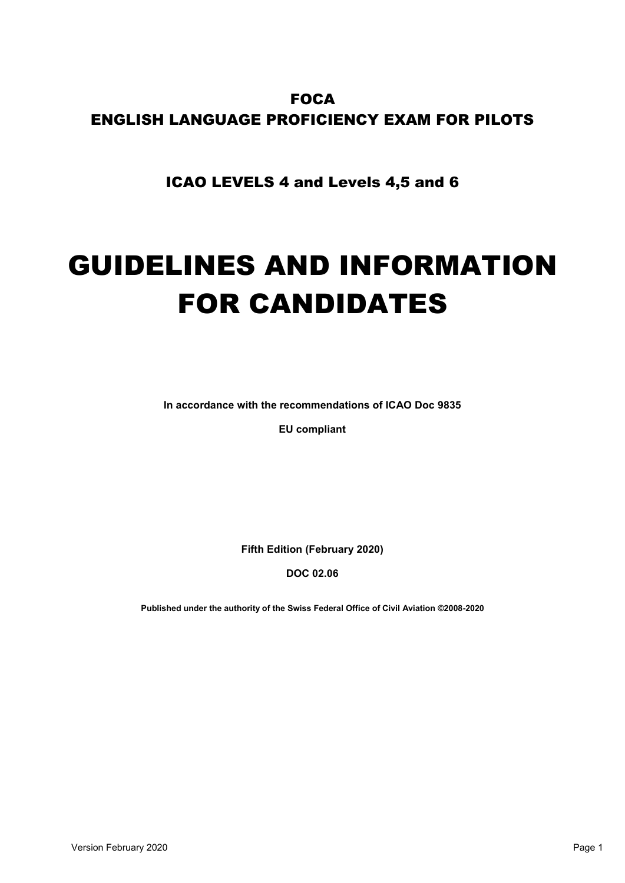# **FOCA** ENGLISH LANGUAGE PROFICIENCY EXAM FOR PILOTS

ICAO LEVELS 4 and Levels 4,5 and 6

# GUIDELINES AND INFORMATION FOR CANDIDATES

**In accordance with the recommendations of ICAO Doc 9835** 

**EU compliant**

**Fifth Edition (February 2020)** 

**DOC 02.06**

**Published under the authority of the Swiss Federal Office of Civil Aviation ©2008-2020**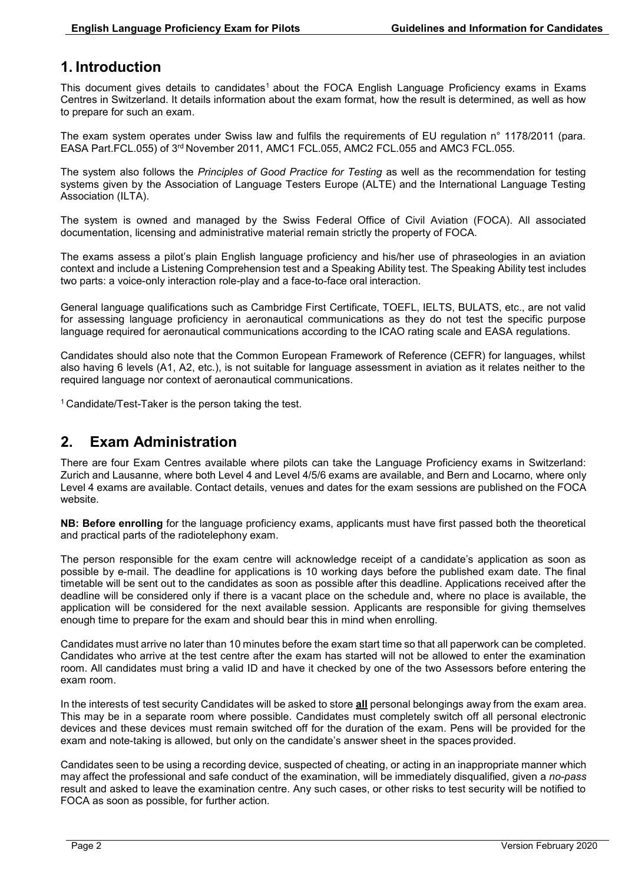# **1. Introduction**

This document gives details to candidates<sup>1</sup> about the FOCA English Language Proficiency exams in Exams Centres in Switzerland. It details information about the exam format, how the result is determined, as well as how to prepare for such an exam.

The exam system operates under Swiss law and fulfils the requirements of EU regulation n° 1178/2011 (para. EASA Part.FCL.055) of 3rd November 2011, AMC1 FCL.055, AMC2 FCL.055 and AMC3 FCL.055.

The system also follows the *Principles of Good Practice for Testing* as well as the recommendation for testing systems given by the Association of Language Testers Europe (ALTE) and the International Language Testing Association (ILTA).

The system is owned and managed by the Swiss Federal Office of Civil Aviation (FOCA). All associated documentation, licensing and administrative material remain strictly the property of FOCA.

The exams assess a pilot's plain English language proficiency and his/her use of phraseologies in an aviation context and include a Listening Comprehension test and a Speaking Ability test. The Speaking Ability test includes two parts: a voice-only interaction role-play and a face-to-face oral interaction.

General language qualifications such as Cambridge First Certificate, TOEFL, IELTS, BULATS, etc., are not valid for assessing language proficiency in aeronautical communications as they do not test the specific purpose language required for aeronautical communications according to the ICAO rating scale and EASA regulations.

Candidates should also note that the Common European Framework of Reference (CEFR) for languages, whilst also having 6 levels (A1, A2, etc.), is not suitable for language assessment in aviation as it relates neither to the required language nor context of aeronautical communications.

<sup>1</sup>Candidate/Test-Taker is the person taking the test.

# **2. Exam Administration**

There are four Exam Centres available where pilots can take the Language Proficiency exams in Switzerland: Zurich and Lausanne, where both Level 4 and Level 4/5/6 exams are available, and Bern and Locarno, where only Level 4 exams are available. Contact details, venues and dates for the exam sessions are published on the FOCA website.

**NB: Before enrolling** for the language proficiency exams, applicants must have first passed both the theoretical and practical parts of the radiotelephony exam.

The person responsible for the exam centre will acknowledge receipt of a candidate's application as soon as possible by e-mail. The deadline for applications is 10 working days before the published exam date. The final timetable will be sent out to the candidates as soon as possible after this deadline. Applications received after the deadline will be considered only if there is a vacant place on the schedule and, where no place is available, the application will be considered for the next available session. Applicants are responsible for giving themselves enough time to prepare for the exam and should bear this in mind when enrolling.

Candidates must arrive no later than 10 minutes before the exam start time so that all paperwork can be completed. Candidates who arrive at the test centre after the exam has started will not be allowed to enter the examination room. All candidates must bring a valid ID and have it checked by one of the two Assessors before entering the exam room.

In the interests of test security Candidates will be asked to store **all** personal belongings away from the exam area. This may be in a separate room where possible. Candidates must completely switch off all personal electronic devices and these devices must remain switched off for the duration of the exam. Pens will be provided for the exam and note-taking is allowed, but only on the candidate's answer sheet in the spaces provided.

Candidates seen to be using a recording device, suspected of cheating, or acting in an inappropriate manner which may affect the professional and safe conduct of the examination, will be immediately disqualified, given a *no-pass*  result and asked to leave the examination centre. Any such cases, or other risks to test security will be notified to FOCA as soon as possible, for further action.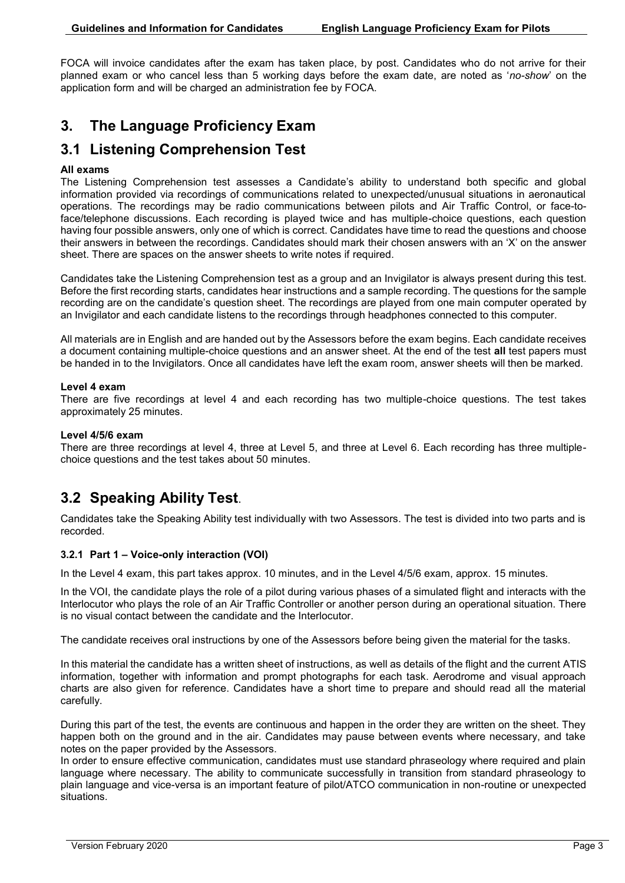FOCA will invoice candidates after the exam has taken place, by post. Candidates who do not arrive for their planned exam or who cancel less than 5 working days before the exam date, are noted as '*no-show*' on the application form and will be charged an administration fee by FOCA.

# **3. The Language Proficiency Exam**

# **3.1 Listening Comprehension Test**

#### **All exams**

The Listening Comprehension test assesses a Candidate's ability to understand both specific and global information provided via recordings of communications related to unexpected/unusual situations in aeronautical operations. The recordings may be radio communications between pilots and Air Traffic Control, or face-toface/telephone discussions. Each recording is played twice and has multiple-choice questions, each question having four possible answers, only one of which is correct. Candidates have time to read the questions and choose their answers in between the recordings. Candidates should mark their chosen answers with an 'X' on the answer sheet. There are spaces on the answer sheets to write notes if required.

Candidates take the Listening Comprehension test as a group and an Invigilator is always present during this test. Before the first recording starts, candidates hear instructions and a sample recording. The questions for the sample recording are on the candidate's question sheet. The recordings are played from one main computer operated by an Invigilator and each candidate listens to the recordings through headphones connected to this computer.

All materials are in English and are handed out by the Assessors before the exam begins. Each candidate receives a document containing multiple-choice questions and an answer sheet. At the end of the test **all** test papers must be handed in to the Invigilators. Once all candidates have left the exam room, answer sheets will then be marked.

#### **Level 4 exam**

There are five recordings at level 4 and each recording has two multiple-choice questions. The test takes approximately 25 minutes.

#### **Level 4/5/6 exam**

There are three recordings at level 4, three at Level 5, and three at Level 6. Each recording has three multiplechoice questions and the test takes about 50 minutes.

# **3.2 Speaking Ability Test**.

Candidates take the Speaking Ability test individually with two Assessors. The test is divided into two parts and is recorded.

#### **3.2.1 Part 1 – Voice-only interaction (VOI)**

In the Level 4 exam, this part takes approx. 10 minutes, and in the Level 4/5/6 exam, approx. 15 minutes.

In the VOI, the candidate plays the role of a pilot during various phases of a simulated flight and interacts with the Interlocutor who plays the role of an Air Traffic Controller or another person during an operational situation. There is no visual contact between the candidate and the Interlocutor.

The candidate receives oral instructions by one of the Assessors before being given the material for the tasks.

In this material the candidate has a written sheet of instructions, as well as details of the flight and the current ATIS information, together with information and prompt photographs for each task. Aerodrome and visual approach charts are also given for reference. Candidates have a short time to prepare and should read all the material carefully.

During this part of the test, the events are continuous and happen in the order they are written on the sheet. They happen both on the ground and in the air. Candidates may pause between events where necessary, and take notes on the paper provided by the Assessors.

In order to ensure effective communication, candidates must use standard phraseology where required and plain language where necessary. The ability to communicate successfully in transition from standard phraseology to plain language and vice-versa is an important feature of pilot/ATCO communication in non-routine or unexpected situations.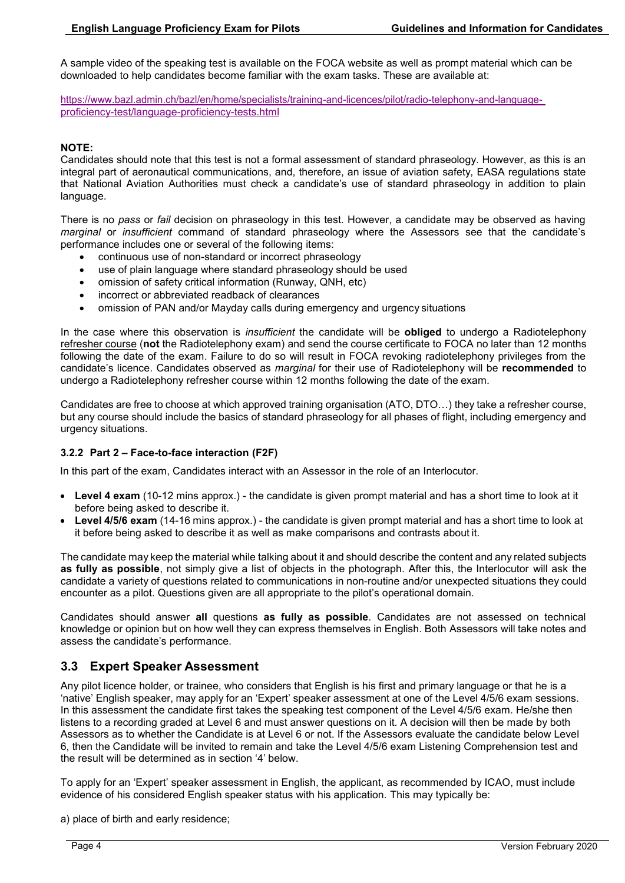A sample video of the speaking test is available on the FOCA website as well as prompt material which can be downloaded to help candidates become familiar with the exam tasks. These are available at:

[https://www.bazl.admin.ch/bazl/en/home/specialists/training-and-licences/pilot/radio-telephony-and-language](https://www.bazl.admin.ch/bazl/de/home/fachleute/ausbildung-und-lizenzen/Piloten/sprachpruefungen--lp-.html)[proficiency-test/language-proficiency-tests.html](https://www.bazl.admin.ch/bazl/de/home/fachleute/ausbildung-und-lizenzen/Piloten/sprachpruefungen--lp-.html)

#### **NOTE:**

Candidates should note that this test is not a formal assessment of standard phraseology. However, as this is an integral part of aeronautical communications, and, therefore, an issue of aviation safety, EASA regulations state that National Aviation Authorities must check a candidate's use of standard phraseology in addition to plain language.

There is no *pass* or *fail* decision on phraseology in this test. However, a candidate may be observed as having *marginal* or *insufficient* command of standard phraseology where the Assessors see that the candidate's performance includes one or several of the following items:

- continuous use of non-standard or incorrect phraseology
- use of plain language where standard phraseology should be used
- omission of safety critical information (Runway, QNH, etc)
- incorrect or abbreviated readback of clearances
- omission of PAN and/or Mayday calls during emergency and urgency situations

In the case where this observation is *insufficient* the candidate will be **obliged** to undergo a Radiotelephony refresher course (**not** the Radiotelephony exam) and send the course certificate to FOCA no later than 12 months following the date of the exam. Failure to do so will result in FOCA revoking radiotelephony privileges from the candidate's licence. Candidates observed as *marginal* for their use of Radiotelephony will be **recommended** to undergo a Radiotelephony refresher course within 12 months following the date of the exam.

Candidates are free to choose at which approved training organisation (ATO, DTO…) they take a refresher course, but any course should include the basics of standard phraseology for all phases of flight, including emergency and urgency situations.

#### **3.2.2 Part 2 – Face-to-face interaction (F2F)**

In this part of the exam, Candidates interact with an Assessor in the role of an Interlocutor.

- **Level 4 exam** (10-12 mins approx.) the candidate is given prompt material and has a short time to look at it before being asked to describe it.
- **Level 4/5/6 exam** (14-16 mins approx.) the candidate is given prompt material and has a short time to look at it before being asked to describe it as well as make comparisons and contrasts about it.

The candidate may keep the material while talking about it and should describe the content and any related subjects **as fully as possible**, not simply give a list of objects in the photograph. After this, the Interlocutor will ask the candidate a variety of questions related to communications in non-routine and/or unexpected situations they could encounter as a pilot. Questions given are all appropriate to the pilot's operational domain.

Candidates should answer **all** questions **as fully as possible**. Candidates are not assessed on technical knowledge or opinion but on how well they can express themselves in English. Both Assessors will take notes and assess the candidate's performance.

#### **3.3 Expert Speaker Assessment**

Any pilot licence holder, or trainee, who considers that English is his first and primary language or that he is a 'native' English speaker, may apply for an 'Expert' speaker assessment at one of the Level 4/5/6 exam sessions. In this assessment the candidate first takes the speaking test component of the Level 4/5/6 exam. He/she then listens to a recording graded at Level 6 and must answer questions on it. A decision will then be made by both Assessors as to whether the Candidate is at Level 6 or not. If the Assessors evaluate the candidate below Level 6, then the Candidate will be invited to remain and take the Level 4/5/6 exam Listening Comprehension test and the result will be determined as in section '4' below.

To apply for an 'Expert' speaker assessment in English, the applicant, as recommended by ICAO, must include evidence of his considered English speaker status with his application. This may typically be:

a) place of birth and early residence;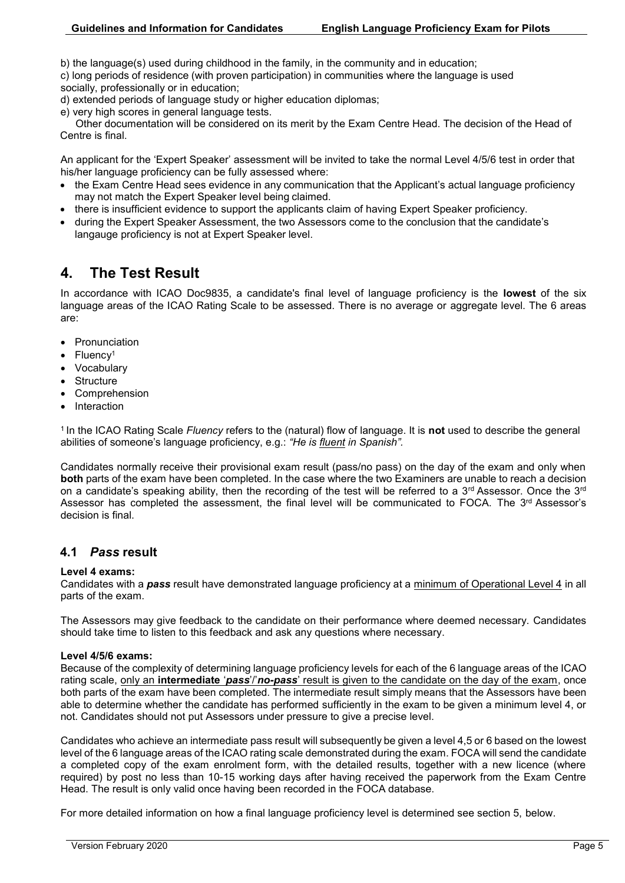b) the language(s) used during childhood in the family, in the community and in education;

c) long periods of residence (with proven participation) in communities where the language is used socially, professionally or in education;

d) extended periods of language study or higher education diplomas;

e) very high scores in general language tests.

Other documentation will be considered on its merit by the Exam Centre Head. The decision of the Head of Centre is final.

An applicant for the 'Expert Speaker' assessment will be invited to take the normal Level 4/5/6 test in order that his/her language proficiency can be fully assessed where:

- the Exam Centre Head sees evidence in any communication that the Applicant's actual language proficiency may not match the Expert Speaker level being claimed.
- there is insufficient evidence to support the applicants claim of having Expert Speaker proficiency.
- during the Expert Speaker Assessment, the two Assessors come to the conclusion that the candidate's langauge proficiency is not at Expert Speaker level.

# **4. The Test Result**

In accordance with ICAO Doc9835, a candidate's final level of language proficiency is the **lowest** of the six language areas of the ICAO Rating Scale to be assessed. There is no average or aggregate level. The 6 areas are:

- Pronunciation
- Fluency<sup>1</sup>
- Vocabulary
- **Structure**
- Comprehension
- Interaction

<sup>1</sup>In the ICAO Rating Scale *Fluency* refers to the (natural) flow of language. It is **not** used to describe the general abilities of someone's language proficiency, e.g.: *"He is fluent in Spanish".*

Candidates normally receive their provisional exam result (pass/no pass) on the day of the exam and only when **both** parts of the exam have been completed. In the case where the two Examiners are unable to reach a decision on a candidate's speaking ability, then the recording of the test will be referred to a  $3^{rd}$  Assessor. Once the  $3^{rd}$ Assessor has completed the assessment, the final level will be communicated to FOCA. The 3<sup>rd</sup> Assessor's decision is final.

## **4.1** *Pass* **result**

#### **Level 4 exams:**

Candidates with a *pass* result have demonstrated language proficiency at a minimum of Operational Level 4 in all parts of the exam.

The Assessors may give feedback to the candidate on their performance where deemed necessary. Candidates should take time to listen to this feedback and ask any questions where necessary.

#### **Level 4/5/6 exams:**

Because of the complexity of determining language proficiency levels for each of the 6 language areas of the ICAO rating scale, only an **intermediate** '*pass*'/'*no-pass*' result is given to the candidate on the day of the exam, once both parts of the exam have been completed. The intermediate result simply means that the Assessors have been able to determine whether the candidate has performed sufficiently in the exam to be given a minimum level 4, or not. Candidates should not put Assessors under pressure to give a precise level.

Candidates who achieve an intermediate pass result will subsequently be given a level 4,5 or 6 based on the lowest level of the 6 language areas of the ICAO rating scale demonstrated during the exam. FOCA will send the candidate a completed copy of the exam enrolment form, with the detailed results, together with a new licence (where required) by post no less than 10-15 working days after having received the paperwork from the Exam Centre Head. The result is only valid once having been recorded in the FOCA database.

For more detailed information on how a final language proficiency level is determined see section 5, below.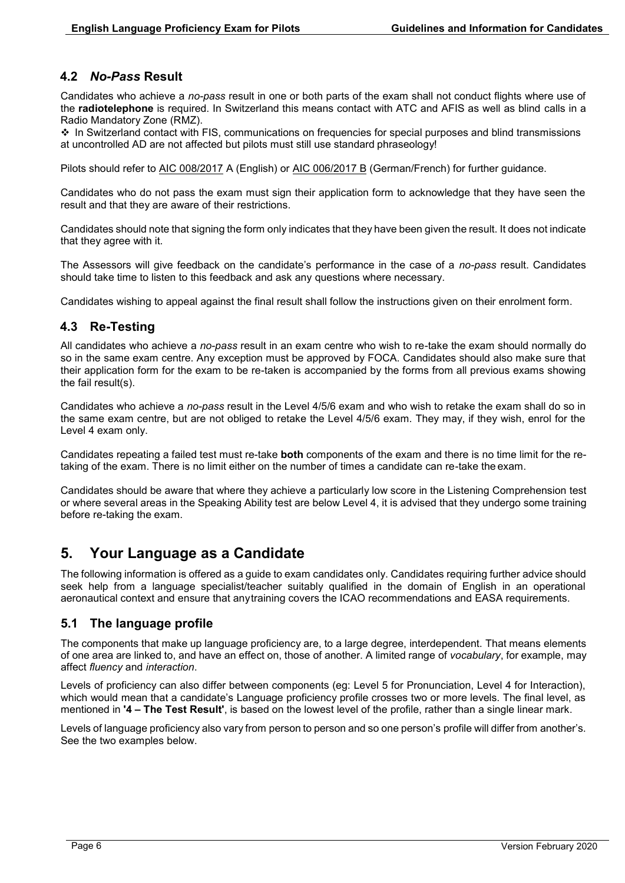## **4.2** *No-Pass* **Result**

Candidates who achieve a *no-pass* result in one or both parts of the exam shall not conduct flights where use of the **radiotelephone** is required. In Switzerland this means contact with ATC and AFIS as well as blind calls in a Radio Mandatory Zone (RMZ).

 In Switzerland contact with FIS, communications on frequencies for special purposes and blind transmissions at uncontrolled AD are not affected but pilots must still use standard phraseology!

Pilots should refer to [AIC 008/2017](https://www.skybriefing.com/portal/aic-series-a) A (English) or [AIC 006/2017 B](https://www.skybriefing.com/portal/documents/10156/484324/LS_Circ_2017_B_006_en.pdf/4088977c-e8cf-4568-8101-040553e0656b) (German/French) for further guidance.

Candidates who do not pass the exam must sign their application form to acknowledge that they have seen the result and that they are aware of their restrictions.

Candidates should note that signing the form only indicates that they have been given the result. It does not indicate that they agree with it.

The Assessors will give feedback on the candidate's performance in the case of a *no-pass* result. Candidates should take time to listen to this feedback and ask any questions where necessary.

Candidates wishing to appeal against the final result shall follow the instructions given on their enrolment form.

## **4.3 Re-Testing**

All candidates who achieve a *no-pass* result in an exam centre who wish to re-take the exam should normally do so in the same exam centre. Any exception must be approved by FOCA. Candidates should also make sure that their application form for the exam to be re-taken is accompanied by the forms from all previous exams showing the fail result(s).

Candidates who achieve a *no-pass* result in the Level 4/5/6 exam and who wish to retake the exam shall do so in the same exam centre, but are not obliged to retake the Level 4/5/6 exam. They may, if they wish, enrol for the Level 4 exam only.

Candidates repeating a failed test must re-take **both** components of the exam and there is no time limit for the retaking of the exam. There is no limit either on the number of times a candidate can re-take the exam.

Candidates should be aware that where they achieve a particularly low score in the Listening Comprehension test or where several areas in the Speaking Ability test are below Level 4, it is advised that they undergo some training before re-taking the exam.

# **5. Your Language as a Candidate**

The following information is offered as a guide to exam candidates only. Candidates requiring further advice should seek help from a language specialist/teacher suitably qualified in the domain of English in an operational aeronautical context and ensure that anytraining covers the ICAO recommendations and EASA requirements.

## **5.1 The language profile**

The components that make up language proficiency are, to a large degree, interdependent. That means elements of one area are linked to, and have an effect on, those of another. A limited range of *vocabulary*, for example, may affect *fluency* and *interaction*.

Levels of proficiency can also differ between components (eg: Level 5 for Pronunciation, Level 4 for Interaction), which would mean that a candidate's Language proficiency profile crosses two or more levels. The final level, as mentioned in **'4 – The Test Result'**, is based on the lowest level of the profile, rather than a single linear mark.

Levels of language proficiency also vary from person to person and so one person's profile will differ from another's. See the two examples below.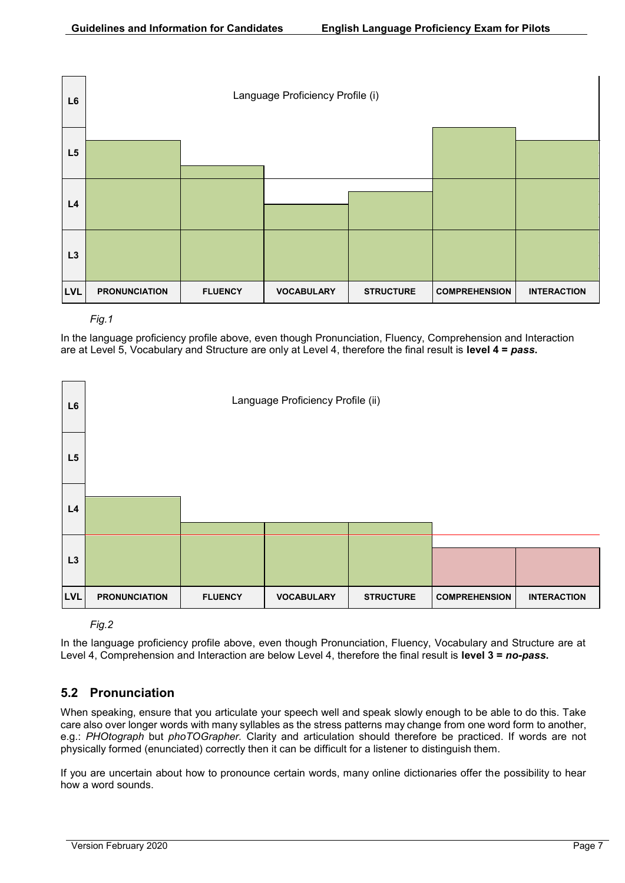



In the language proficiency profile above, even though Pronunciation, Fluency, Comprehension and Interaction are at Level 5, Vocabulary and Structure are only at Level 4, therefore the final result is **level 4 =** *pass***.**



*Fig.2*

In the language proficiency profile above, even though Pronunciation, Fluency, Vocabulary and Structure are at Level 4, Comprehension and Interaction are below Level 4, therefore the final result is **level 3 =** *no-pass***.**

## **5.2 Pronunciation**

When speaking, ensure that you articulate your speech well and speak slowly enough to be able to do this. Take care also over longer words with many syllables as the stress patterns may change from one word form to another, e.g.: *PHOtograph* but *phoTOGrapher.* Clarity and articulation should therefore be practiced. If words are not physically formed (enunciated) correctly then it can be difficult for a listener to distinguish them.

If you are uncertain about how to pronounce certain words, many online dictionaries offer the possibility to hear how a word sounds.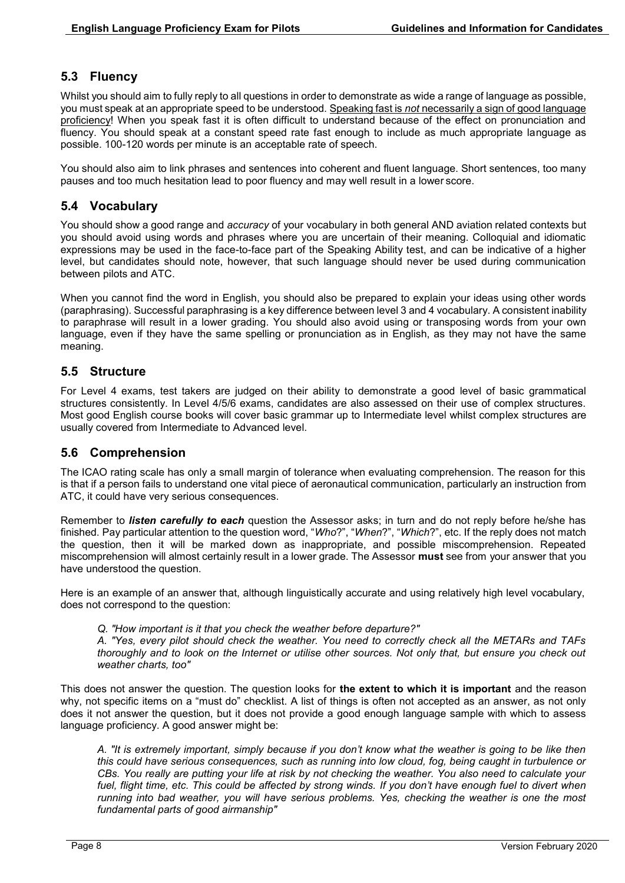## **5.3 Fluency**

Whilst you should aim to fully reply to all questions in order to demonstrate as wide a range of language as possible, you must speak at an appropriate speed to be understood. Speaking fast is *not* necessarily a sign of good language proficiency! When you speak fast it is often difficult to understand because of the effect on pronunciation and fluency. You should speak at a constant speed rate fast enough to include as much appropriate language as possible. 100-120 words per minute is an acceptable rate of speech.

You should also aim to link phrases and sentences into coherent and fluent language. Short sentences, too many pauses and too much hesitation lead to poor fluency and may well result in a lower score.

## **5.4 Vocabulary**

You should show a good range and *accuracy* of your vocabulary in both general AND aviation related contexts but you should avoid using words and phrases where you are uncertain of their meaning. Colloquial and idiomatic expressions may be used in the face-to-face part of the Speaking Ability test, and can be indicative of a higher level, but candidates should note, however, that such language should never be used during communication between pilots and ATC.

When you cannot find the word in English, you should also be prepared to explain your ideas using other words (paraphrasing). Successful paraphrasing is a key difference between level 3 and 4 vocabulary. A consistent inability to paraphrase will result in a lower grading. You should also avoid using or transposing words from your own language, even if they have the same spelling or pronunciation as in English, as they may not have the same meaning.

#### **5.5 Structure**

For Level 4 exams, test takers are judged on their ability to demonstrate a good level of basic grammatical structures consistently. In Level 4/5/6 exams, candidates are also assessed on their use of complex structures. Most good English course books will cover basic grammar up to Intermediate level whilst complex structures are usually covered from Intermediate to Advanced level.

#### **5.6 Comprehension**

The ICAO rating scale has only a small margin of tolerance when evaluating comprehension. The reason for this is that if a person fails to understand one vital piece of aeronautical communication, particularly an instruction from ATC, it could have very serious consequences.

Remember to *listen carefully to each* question the Assessor asks; in turn and do not reply before he/she has finished. Pay particular attention to the question word, "*Who*?", "*When*?", "*Which*?", etc. If the reply does not match the question, then it will be marked down as inappropriate, and possible miscomprehension. Repeated miscomprehension will almost certainly result in a lower grade. The Assessor **must** see from your answer that you have understood the question.

Here is an example of an answer that, although linguistically accurate and using relatively high level vocabulary, does not correspond to the question:

*Q. "How important is it that you check the weather before departure?"*

*A. "Yes, every pilot should check the weather. You need to correctly check all the METARs and TAFs thoroughly and to look on the Internet or utilise other sources. Not only that, but ensure you check out weather charts, too"*

This does not answer the question. The question looks for **the extent to which it is important** and the reason why, not specific items on a "must do" checklist. A list of things is often not accepted as an answer, as not only does it not answer the question, but it does not provide a good enough language sample with which to assess language proficiency. A good answer might be:

*A. "It is extremely important, simply because if you don't know what the weather is going to be like then this could have serious consequences, such as running into low cloud, fog, being caught in turbulence or CBs. You really are putting your life at risk by not checking the weather. You also need to calculate your fuel, flight time, etc. This could be affected by strong winds. If you don't have enough fuel to divert when running into bad weather, you will have serious problems. Yes, checking the weather is one the most fundamental parts of good airmanship"*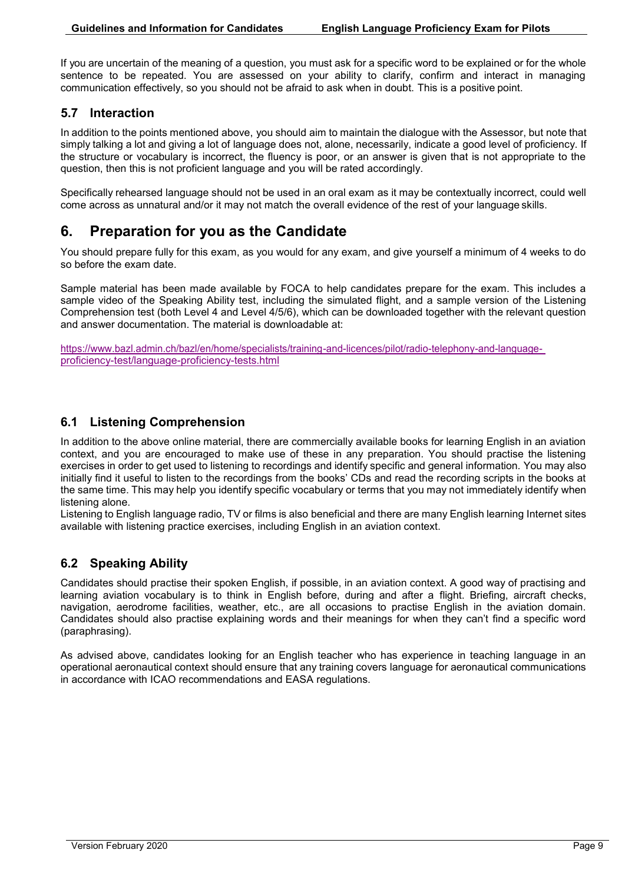If you are uncertain of the meaning of a question, you must ask for a specific word to be explained or for the whole sentence to be repeated. You are assessed on your ability to clarify, confirm and interact in managing communication effectively, so you should not be afraid to ask when in doubt. This is a positive point.

## **5.7 Interaction**

In addition to the points mentioned above, you should aim to maintain the dialogue with the Assessor, but note that simply talking a lot and giving a lot of language does not, alone, necessarily, indicate a good level of proficiency. If the structure or vocabulary is incorrect, the fluency is poor, or an answer is given that is not appropriate to the question, then this is not proficient language and you will be rated accordingly.

Specifically rehearsed language should not be used in an oral exam as it may be contextually incorrect, could well come across as unnatural and/or it may not match the overall evidence of the rest of your language skills.

# **6. Preparation for you as the Candidate**

You should prepare fully for this exam, as you would for any exam, and give yourself a minimum of 4 weeks to do so before the exam date.

Sample material has been made available by FOCA to help candidates prepare for the exam. This includes a sample video of the Speaking Ability test, including the simulated flight, and a sample version of the Listening Comprehension test (both Level 4 and Level 4/5/6), which can be downloaded together with the relevant question and answer documentation. The material is downloadable at:

[https://www.bazl.admin.ch/bazl/en/home/specialists/training-and-licences/pilot/radio-telephony-and-language](https://www.bazl.admin.ch/bazl/de/home/fachleute/ausbildung-und-lizenzen/Piloten/sprachpruefungen--lp-.html)[proficiency-test/language-proficiency-tests.html](https://www.bazl.admin.ch/bazl/de/home/fachleute/ausbildung-und-lizenzen/Piloten/sprachpruefungen--lp-.html)

## **6.1 Listening Comprehension**

In addition to the above online material, there are commercially available books for learning English in an aviation context, and you are encouraged to make use of these in any preparation. You should practise the listening exercises in order to get used to listening to recordings and identify specific and general information. You may also initially find it useful to listen to the recordings from the books' CDs and read the recording scripts in the books at the same time. This may help you identify specific vocabulary or terms that you may not immediately identify when listening alone.

Listening to English language radio, TV or films is also beneficial and there are many English learning Internet sites available with listening practice exercises, including English in an aviation context.

## **6.2 Speaking Ability**

Candidates should practise their spoken English, if possible, in an aviation context. A good way of practising and learning aviation vocabulary is to think in English before, during and after a flight. Briefing, aircraft checks, navigation, aerodrome facilities, weather, etc., are all occasions to practise English in the aviation domain. Candidates should also practise explaining words and their meanings for when they can't find a specific word (paraphrasing).

As advised above, candidates looking for an English teacher who has experience in teaching language in an operational aeronautical context should ensure that any training covers language for aeronautical communications in accordance with ICAO recommendations and EASA regulations.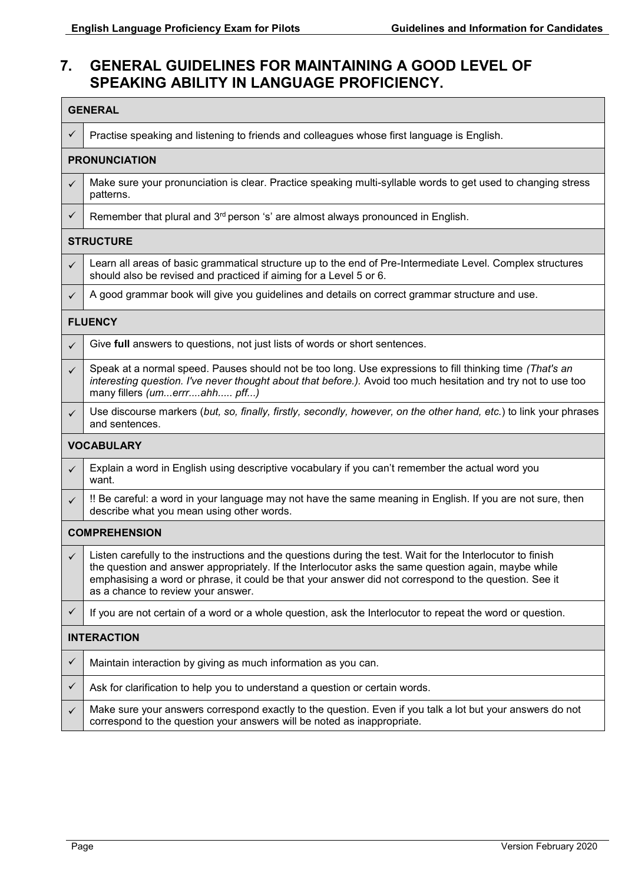# **7. GENERAL GUIDELINES FOR MAINTAINING A GOOD LEVEL OF SPEAKING ABILITY IN LANGUAGE PROFICIENCY.**

| <b>GENERAL</b>       |                                                                                                                                                                                                                                                                                                                                                                    |  |  |  |  |  |  |
|----------------------|--------------------------------------------------------------------------------------------------------------------------------------------------------------------------------------------------------------------------------------------------------------------------------------------------------------------------------------------------------------------|--|--|--|--|--|--|
| ✓                    | Practise speaking and listening to friends and colleagues whose first language is English.                                                                                                                                                                                                                                                                         |  |  |  |  |  |  |
| <b>PRONUNCIATION</b> |                                                                                                                                                                                                                                                                                                                                                                    |  |  |  |  |  |  |
| $\checkmark$         | Make sure your pronunciation is clear. Practice speaking multi-syllable words to get used to changing stress<br>patterns.                                                                                                                                                                                                                                          |  |  |  |  |  |  |
| $\checkmark$         | Remember that plural and 3 <sup>rd</sup> person 's' are almost always pronounced in English.                                                                                                                                                                                                                                                                       |  |  |  |  |  |  |
| <b>STRUCTURE</b>     |                                                                                                                                                                                                                                                                                                                                                                    |  |  |  |  |  |  |
| ✓                    | Learn all areas of basic grammatical structure up to the end of Pre-Intermediate Level. Complex structures<br>should also be revised and practiced if aiming for a Level 5 or 6.                                                                                                                                                                                   |  |  |  |  |  |  |
| ✓                    | A good grammar book will give you guidelines and details on correct grammar structure and use.                                                                                                                                                                                                                                                                     |  |  |  |  |  |  |
| <b>FLUENCY</b>       |                                                                                                                                                                                                                                                                                                                                                                    |  |  |  |  |  |  |
| ✓                    | Give full answers to questions, not just lists of words or short sentences.                                                                                                                                                                                                                                                                                        |  |  |  |  |  |  |
| ✓                    | Speak at a normal speed. Pauses should not be too long. Use expressions to fill thinking time (That's an<br>interesting question. I've never thought about that before.). Avoid too much hesitation and try not to use too<br>many fillers (umerrrahh pff)                                                                                                         |  |  |  |  |  |  |
| $\checkmark$         | Use discourse markers (but, so, finally, firstly, secondly, however, on the other hand, etc.) to link your phrases<br>and sentences.                                                                                                                                                                                                                               |  |  |  |  |  |  |
| <b>VOCABULARY</b>    |                                                                                                                                                                                                                                                                                                                                                                    |  |  |  |  |  |  |
| ✓                    | Explain a word in English using descriptive vocabulary if you can't remember the actual word you<br>want.                                                                                                                                                                                                                                                          |  |  |  |  |  |  |
| $\checkmark$         | !! Be careful: a word in your language may not have the same meaning in English. If you are not sure, then<br>describe what you mean using other words.                                                                                                                                                                                                            |  |  |  |  |  |  |
| <b>COMPREHENSION</b> |                                                                                                                                                                                                                                                                                                                                                                    |  |  |  |  |  |  |
| $\checkmark$         | Listen carefully to the instructions and the questions during the test. Wait for the Interlocutor to finish<br>the question and answer appropriately. If the Interlocutor asks the same question again, maybe while<br>emphasising a word or phrase, it could be that your answer did not correspond to the question. See it<br>as a chance to review your answer. |  |  |  |  |  |  |
| ✓                    | If you are not certain of a word or a whole question, ask the Interlocutor to repeat the word or question.                                                                                                                                                                                                                                                         |  |  |  |  |  |  |
| <b>INTERACTION</b>   |                                                                                                                                                                                                                                                                                                                                                                    |  |  |  |  |  |  |
| ✓                    | Maintain interaction by giving as much information as you can.                                                                                                                                                                                                                                                                                                     |  |  |  |  |  |  |
| ✓                    | Ask for clarification to help you to understand a question or certain words.                                                                                                                                                                                                                                                                                       |  |  |  |  |  |  |
| ✓                    | Make sure your answers correspond exactly to the question. Even if you talk a lot but your answers do not<br>correspond to the question your answers will be noted as inappropriate.                                                                                                                                                                               |  |  |  |  |  |  |